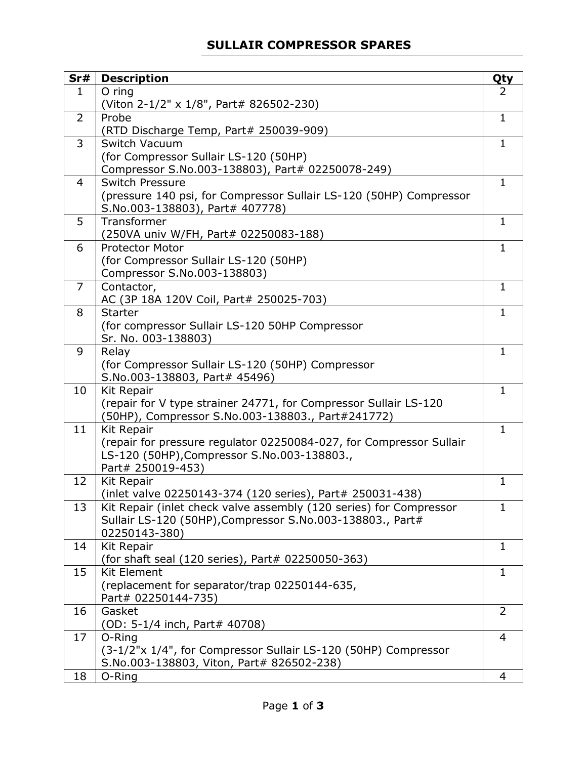## **SULLAIR COMPRESSOR SPARES**

| Sr#            | <b>Description</b>                                                    | <b>Qty</b>            |
|----------------|-----------------------------------------------------------------------|-----------------------|
| $\mathbf{1}$   | $O$ ring                                                              | $\mathbf{2}^{\prime}$ |
|                | (Viton 2-1/2" x 1/8", Part# 826502-230)                               |                       |
| 2              | Probe                                                                 | $\mathbf{1}$          |
|                | (RTD Discharge Temp, Part# 250039-909)                                |                       |
| 3              | Switch Vacuum                                                         | $\mathbf{1}$          |
|                | (for Compressor Sullair LS-120 (50HP)                                 |                       |
|                | Compressor S.No.003-138803), Part# 02250078-249)                      |                       |
| 4              | <b>Switch Pressure</b>                                                | 1                     |
|                | (pressure 140 psi, for Compressor Sullair LS-120 (50HP) Compressor    |                       |
|                | S.No.003-138803), Part# 407778)                                       |                       |
| 5              | Transformer                                                           | $\mathbf{1}$          |
|                | (250VA univ W/FH, Part# 02250083-188)                                 |                       |
| 6              | <b>Protector Motor</b>                                                | $\mathbf{1}$          |
|                | (for Compressor Sullair LS-120 (50HP)                                 |                       |
|                | Compressor S.No.003-138803)                                           |                       |
| $\overline{7}$ | Contactor,                                                            | $\mathbf{1}$          |
|                | AC (3P 18A 120V Coil, Part# 250025-703)<br><b>Starter</b>             |                       |
| 8              |                                                                       | 1                     |
|                | (for compressor Sullair LS-120 50HP Compressor<br>Sr. No. 003-138803) |                       |
| 9              | Relay                                                                 | $\mathbf{1}$          |
|                | (for Compressor Sullair LS-120 (50HP) Compressor                      |                       |
|                | S.No.003-138803, Part# 45496)                                         |                       |
| 10             | Kit Repair                                                            | $\mathbf{1}$          |
|                | (repair for V type strainer 24771, for Compressor Sullair LS-120      |                       |
|                | (50HP), Compressor S.No.003-138803., Part#241772)                     |                       |
| 11             | <b>Kit Repair</b>                                                     | $\mathbf{1}$          |
|                | (repair for pressure regulator 02250084-027, for Compressor Sullair   |                       |
|                | LS-120 (50HP), Compressor S.No.003-138803.,                           |                       |
|                | Part# 250019-453)                                                     |                       |
| 12             | <b>Kit Repair</b>                                                     | $\mathbf{1}$          |
|                | (inlet valve 02250143-374 (120 series), Part# 250031-438)             |                       |
| 13             | Kit Repair (inlet check valve assembly (120 series) for Compressor    | 1                     |
|                | Sullair LS-120 (50HP), Compressor S.No.003-138803., Part#             |                       |
|                | 02250143-380)                                                         |                       |
| 14             | Kit Repair                                                            | 1                     |
|                | (for shaft seal (120 series), Part# 02250050-363)                     |                       |
| 15             | <b>Kit Element</b>                                                    | $\mathbf{1}$          |
|                | (replacement for separator/trap 02250144-635,                         |                       |
|                | Part# 02250144-735)                                                   |                       |
| 16             | Gasket                                                                | $\overline{2}$        |
|                | (OD: 5-1/4 inch, Part# 40708)                                         |                       |
| 17             | O-Ring                                                                | 4                     |
|                | (3-1/2"x 1/4", for Compressor Sullair LS-120 (50HP) Compressor        |                       |
| 18             | S.No.003-138803, Viton, Part# 826502-238)<br>O-Ring                   | 4                     |
|                |                                                                       |                       |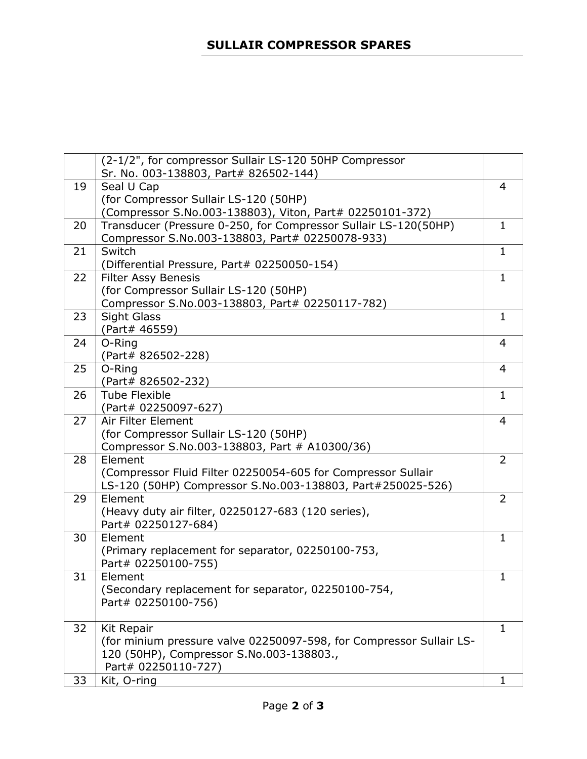|    | (2-1/2", for compressor Sullair LS-120 50HP Compressor              |                |
|----|---------------------------------------------------------------------|----------------|
|    | Sr. No. 003-138803, Part# 826502-144)                               |                |
| 19 | Seal U Cap                                                          | 4              |
|    | (for Compressor Sullair LS-120 (50HP)                               |                |
|    | (Compressor S.No.003-138803), Viton, Part# 02250101-372)            |                |
| 20 | Transducer (Pressure 0-250, for Compressor Sullair LS-120(50HP)     | $\mathbf{1}$   |
|    | Compressor S.No.003-138803, Part# 02250078-933)                     |                |
| 21 | Switch                                                              | $\mathbf{1}$   |
|    | (Differential Pressure, Part# 02250050-154)                         |                |
| 22 | <b>Filter Assy Benesis</b>                                          | $\mathbf{1}$   |
|    | (for Compressor Sullair LS-120 (50HP)                               |                |
|    | Compressor S.No.003-138803, Part# 02250117-782)                     |                |
| 23 | <b>Sight Glass</b>                                                  | $\mathbf{1}$   |
|    | (Part# 46559)                                                       |                |
| 24 | O-Ring                                                              | 4              |
|    | (Part# 826502-228)                                                  |                |
| 25 | O-Ring                                                              | 4              |
|    | (Part# 826502-232)                                                  |                |
| 26 | <b>Tube Flexible</b>                                                | $\mathbf{1}$   |
|    | (Part# 02250097-627)                                                |                |
| 27 | Air Filter Element                                                  | 4              |
|    | (for Compressor Sullair LS-120 (50HP)                               |                |
|    | Compressor S.No.003-138803, Part # A10300/36)                       |                |
| 28 | Element                                                             | $\overline{2}$ |
|    | (Compressor Fluid Filter 02250054-605 for Compressor Sullair        |                |
|    | LS-120 (50HP) Compressor S.No.003-138803, Part#250025-526)          |                |
| 29 | Element                                                             | $\overline{2}$ |
|    | (Heavy duty air filter, 02250127-683 (120 series),                  |                |
|    | Part# 02250127-684)                                                 |                |
| 30 | Element                                                             | 1              |
|    | (Primary replacement for separator, 02250100-753,                   |                |
|    | Part# 02250100-755)                                                 |                |
| 31 | Element                                                             | 1              |
|    | (Secondary replacement for separator, 02250100-754,                 |                |
|    | Part# 02250100-756)                                                 |                |
|    |                                                                     |                |
| 32 | <b>Kit Repair</b>                                                   | $\mathbf{1}$   |
|    | (for minium pressure valve 02250097-598, for Compressor Sullair LS- |                |
|    | 120 (50HP), Compressor S.No.003-138803.,                            |                |
|    | Part# 02250110-727)                                                 |                |
| 33 | Kit, O-ring                                                         | 1              |